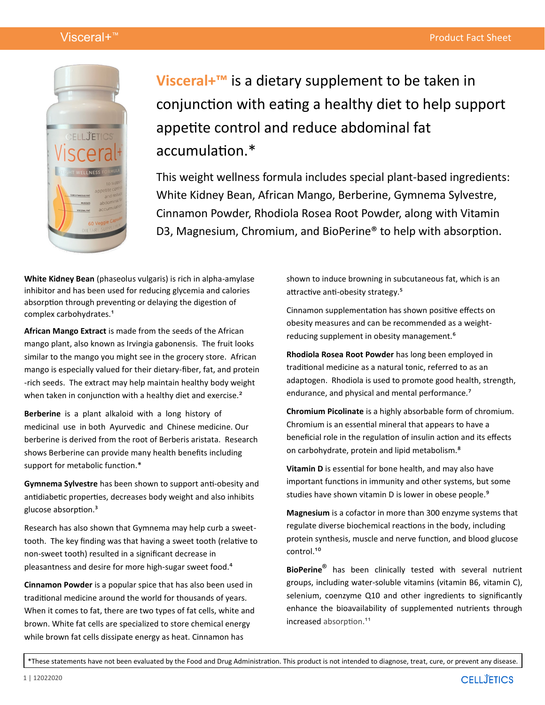

**Visceral+™** is a dietary supplement to be taken in conjunction with eating a healthy diet to help support appetite control and reduce abdominal fat accumulation.\*

This weight wellness formula includes special plant-based ingredients: White Kidney Bean, African Mango, Berberine, Gymnema Sylvestre, Cinnamon Powder, Rhodiola Rosea Root Powder, along with Vitamin D3, Magnesium, Chromium, and BioPerine® to help with absorption.

**White Kidney Bean** (phaseolus vulgaris) is rich in alpha‐amylase inhibitor and has been used for reducing glycemia and calories absorption through preventing or delaying the digestion of complex carbohydrates.<sup>1</sup>

**African Mango Extract** is made from the seeds of the African mango plant, also known as Irvingia gabonensis. The fruit looks similar to the mango you might see in the grocery store. African mango is especially valued for their dietary-fiber, fat, and protein -rich seeds. The extract may help maintain healthy body weight when taken in conjunction with a healthy diet and exercise.<sup>2</sup>

**Berberine** is a plant alkaloid with a long history of medicinal use in both Ayurvedic and Chinese medicine. Our berberine is derived from the root of Berberis aristata. Research shows Berberine can provide many health benefits including support for metabolic function.\*

**Gymnema Sylvestre** has been shown to support anti-obesity and antidiabetic properties, decreases body weight and also inhibits glucose absorption.³

Research has also shown that Gymnema may help curb a sweettooth. The key finding was that having a sweet tooth (relative to non-sweet tooth) resulted in a significant decrease in pleasantness and desire for more high-sugar sweet food.<sup>4</sup>

**Cinnamon Powder** is a popular spice that has also been used in traditional medicine around the world for thousands of years. When it comes to fat, there are two types of fat cells, white and brown. White fat cells are specialized to store chemical energy while brown fat cells dissipate energy as heat. Cinnamon has

shown to induce browning in subcutaneous fat, which is an attractive anti-obesity strategy.<sup>5</sup>

Cinnamon supplementation has shown positive effects on obesity measures and can be recommended as a weightreducing supplement in obesity management.<sup>6</sup>

**Rhodiola Rosea Root Powder** has long been employed in traditional medicine as a natural tonic, referred to as an adaptogen. Rhodiola is used to promote good health, strength, endurance, and physical and mental performance.<sup>7</sup>

**Chromium Picolinate** is a highly absorbable form of chromium. Chromium is an essential mineral that appears to have a beneficial role in the regulation of insulin action and its effects on carbohydrate, protein and lipid metabolism.<sup>8</sup>

**Vitamin D** is essential for bone health, and may also have important functions in immunity and other systems, but some studies have shown vitamin D is lower in obese people.<sup>9</sup>

**Magnesium** is a cofactor in more than 300 enzyme systems that regulate diverse biochemical reactions in the body, including protein synthesis, muscle and nerve function, and blood glucose control<sup>10</sup>

**BioPerine®** has been clinically tested with several nutrient groups, including water-soluble vitamins (vitamin B6, vitamin C), selenium, coenzyme Q10 and other ingredients to significantly enhance the bioavailability of supplemented nutrients through increased absorption.<sup>11</sup>

\*These statements have not been evaluated by the Food and Drug Administration. This product is not intended to diagnose, treat, cure, or prevent any disease.